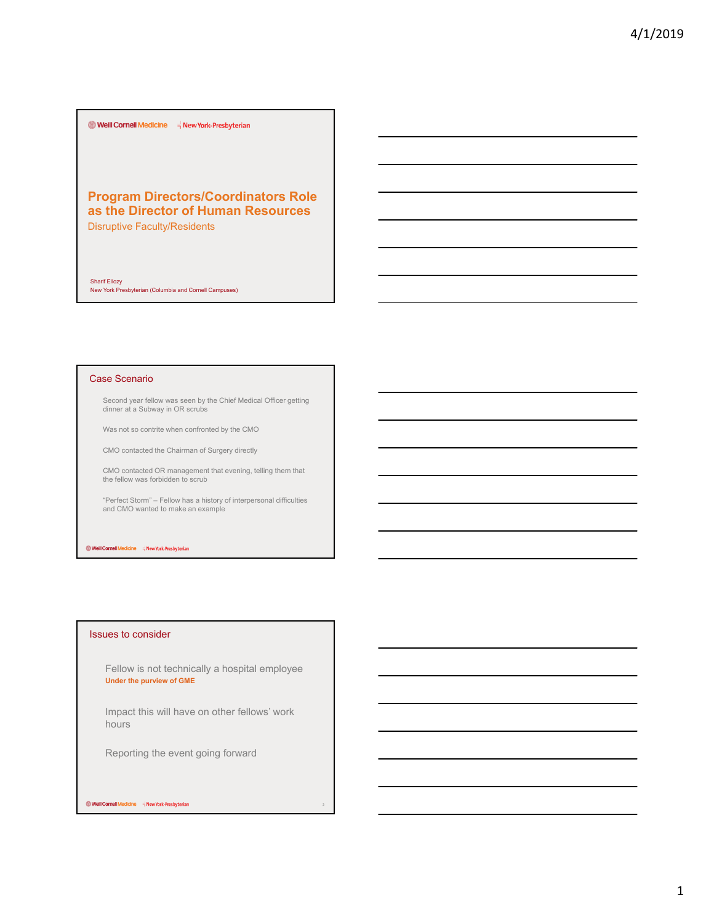$\bullet$  Weill Cornell Medicine  $\overrightarrow{\theta}$  New York-Presbyterian

# **Program Directors/Coordinators Role as the Director of Human Resources**

Disruptive Faculty/Residents

Sharif Ellozy New York Presbyterian (Columbia and Cornell Campuses)

## Case Scenario

Second year fellow was seen by the Chief Medical Officer getting dinner at a Subway in OR scrubs

Was not so contrite when confronted by the CMO

CMO contacted the Chairman of Surgery directly

CMO contacted OR management that evening, telling them that the fellow was forbidden to scrub

"Perfect Storm" – Fellow has a history of interpersonal difficulties and CMO wanted to make an example

Well Cornell Medicine = New York-Presbyterian

## Issues to consider

Fellow is not technically a hospital employee **Under the purview of GME**

Impact this will have on other fellows' work hours

Reporting the event going forward

#### Well Cornell Medicine = New York-Presbyterian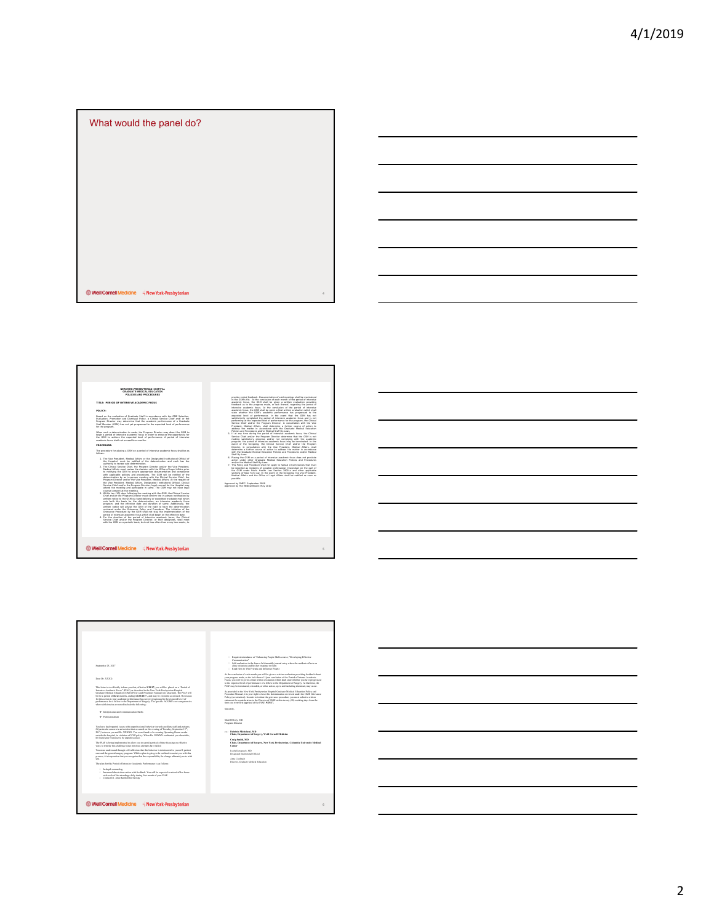